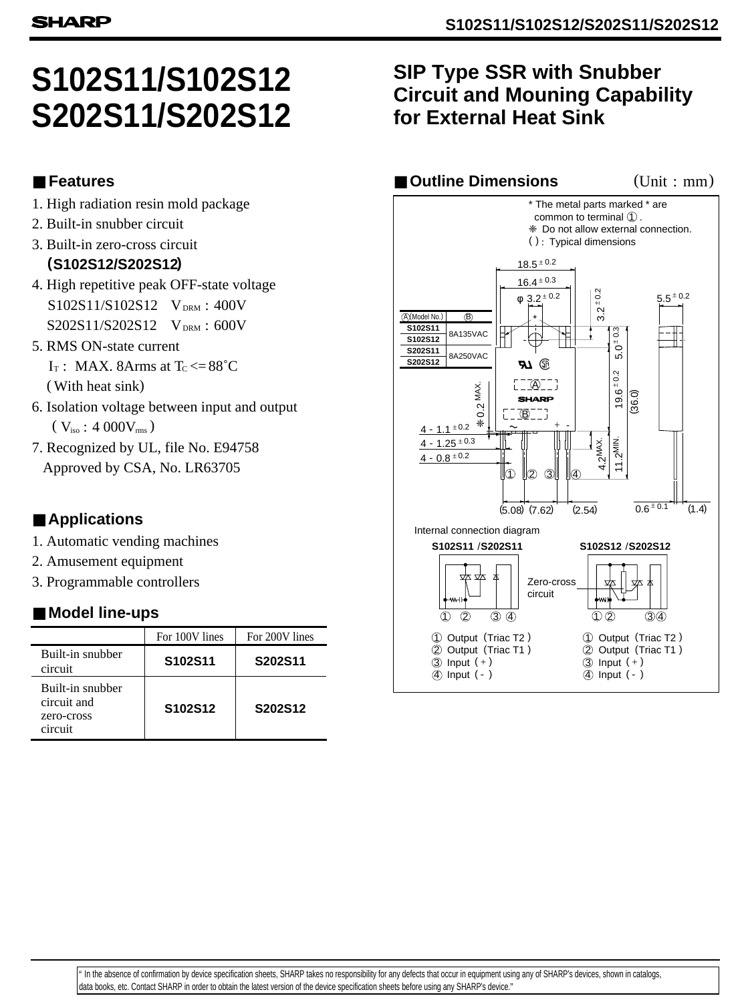# **S102S11/S102S12 S202S11/S202S12**

### ■ **Features**

- 1. High radiation resin mold package
- 2. Built-in snubber circuit
- 3. Built-in zero-cross circuit  **(S102S12/S202S12)**
- 4. High repetitive peak OFF-state voltage  $S102S11/S102S12$  V<sub>DRM</sub>: 400V  $S202S11/S202S12$  V<sub>DRM</sub>: 600V
- 5. RMS ON-state current  $I_T$ : MAX. 8Arms at  $T_c \leq 88^\circ C$ (With heat sink)
- 6. Isolation voltage between input and output  $(\rm~V_{\rm iso}$   $: 4~000 V_{\rm rms})$
- Approved by CSA, No. LR63705 7. Recognized by UL, file No. E94758

## ■ **Applications**

- 1. Automatic vending machines
- 2. Amusement equipment
- 3. Programmable controllers

## ■ Model line-ups

|                                                          | For 100V lines                   | For 200V lines |
|----------------------------------------------------------|----------------------------------|----------------|
| Built-in snubber<br>circuit                              | S102S11                          | S202S11        |
| Built-in snubber<br>circuit and<br>zero-cross<br>circuit | S <sub>102</sub> S <sub>12</sub> | S202S12        |

## **SIP Type SSR with Snubber Circuit and Mouning Capability for External Heat Sink**

#### ■ **Outline Dimensions** (Unit : mm)



 data books, etc. Contact SHARP in order to obtain the latest version of the device specification sheets before using any SHARP's device." " In the absence of confirmation by device specification sheets, SHARP takes no responsibility for any defects that occur in equipment using any of SHARP's devices, shown in catalogs,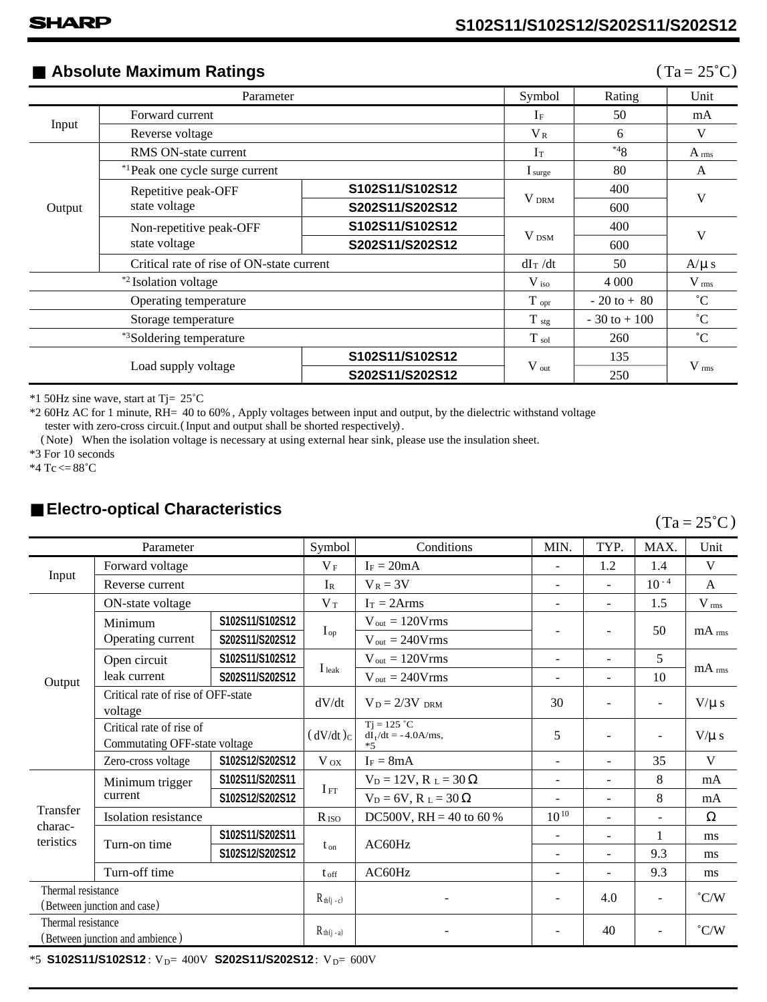## ■ **Absolute Maximum Ratings** (Ta=25<sup>°</sup>C)

| Parameter                            |                                            |                  | Symbol            | Rating           | Unit               |  |
|--------------------------------------|--------------------------------------------|------------------|-------------------|------------------|--------------------|--|
| Forward current                      |                                            | $I_{\rm F}$      | 50                | mA               |                    |  |
| Input<br>Reverse voltage             |                                            |                  | $V_{R}$           | 6                | V                  |  |
| RMS ON-state current                 |                                            | Iт               | $*48$             | A <sub>rms</sub> |                    |  |
| Output                               | <sup>*1</sup> Peak one cycle surge current |                  | I <sub>sure</sub> | 80               | A                  |  |
|                                      | Repetitive peak-OFF<br>state voltage       | S102S11/S102S12  |                   | 400              |                    |  |
|                                      |                                            | S202S11/S202S12  | V <sub>DRM</sub>  | 600              | V                  |  |
|                                      | Non-repetitive peak-OFF<br>state voltage   | S102S11/S102S12  |                   | 400              | V                  |  |
|                                      |                                            | S202S11/S202S12  | $V_{DSM}$         | 600              |                    |  |
|                                      | Critical rate of rise of ON-state current  |                  | $dI_T/dt$         | 50               | $A/\mu s$          |  |
| <sup>*2</sup> Isolation voltage      |                                            |                  | $V_{\rm iso}$     | 4 0 0 0          | $V$ <sub>rms</sub> |  |
| Operating temperature                |                                            |                  | $T_{\rm opr}$     | $-20$ to $+80$   | $^{\circ}C$        |  |
| Storage temperature                  |                                            | $T_{\text{stg}}$ | $-30$ to $+100$   | $^{\circ}C$      |                    |  |
| * <sup>3</sup> Soldering temperature |                                            | $T_{sol}$        | 260               | $^{\circ}C$      |                    |  |
| Load supply voltage                  |                                            | S102S11/S102S12  |                   | 135              | $V$ <sub>rms</sub> |  |
|                                      |                                            | S202S11/S202S12  | $V_{\text{out}}$  | 250              |                    |  |

\*1 50Hz sine wave, start at Tj= 25˚C

\*2 60Hz AC for 1 minute, RH= 40 to 60% , Apply voltages between input and output, by the dielectric withstand voltage tester with zero-cross circuit. (Input and output shall be shorted respectively).

(Note) When the isolation voltage is necessary at using external hear sink, please use the insulation sheet.

\*3 For 10 seconds

\*4 Tc  $\leq$  88°C

## ■ **Electro-optical Characteristics**

 $(Ta = 25^{\circ}C)$ 

| Parameter                                             |                                                           | Symbol          | Conditions        | MIN.                                            | TYP.                     | MAX.                     | Unit                     |                     |
|-------------------------------------------------------|-----------------------------------------------------------|-----------------|-------------------|-------------------------------------------------|--------------------------|--------------------------|--------------------------|---------------------|
|                                                       | Forward voltage                                           |                 | $V_F$             | $I_F = 20mA$                                    |                          | 1.2                      | 1.4                      | V                   |
| Input                                                 | Reverse current                                           |                 | $I_R$             | $V_R = 3V$                                      | $\overline{\phantom{0}}$ | $\overline{a}$           | $10 - 4$                 | $\mathsf{A}$        |
|                                                       | ON-state voltage                                          |                 | $V_T$             | $Ir = 2Arms$                                    | -                        | $\overline{a}$           | 1.5                      | V <sub>rms</sub>    |
| Output                                                | Minimum                                                   | S102S11/S102S12 | $I_{op}$          | $V_{out} = 120 Vrms$                            |                          | $\overline{\phantom{a}}$ | 50                       | $mA$ <sub>rms</sub> |
|                                                       | Operating current                                         | S202S11/S202S12 |                   | $V_{\text{out}} = 240 V \text{rms}$             |                          |                          |                          |                     |
|                                                       | Open circuit                                              | S102S11/S102S12 | I <sub>leak</sub> | $V_{\text{out}} = 120 V \text{rms}$             | -                        | $\overline{a}$           | 5                        | $mA$ <sub>rms</sub> |
|                                                       | leak current                                              | S202S11/S202S12 |                   | $V_{\text{out}} = 240 V \text{rms}$             | $\overline{\phantom{0}}$ | $\overline{\phantom{a}}$ | 10                       |                     |
|                                                       | Critical rate of rise of OFF-state<br>voltage             |                 | dV/dt             | $V_D = 2/3V_{DRM}$                              | 30                       | $\overline{\phantom{a}}$ | $\overline{\phantom{a}}$ | $V/\mu$ s           |
|                                                       | Critical rate of rise of<br>Commutating OFF-state voltage |                 | $(dV/dt)_C$       | $Tj = 125 °C$<br>$dI_1/dt = -4.0A/ms$ ,<br>$*5$ | 5                        | $\overline{\phantom{a}}$ | $\overline{\phantom{0}}$ | $V/\mu$ s           |
|                                                       | Zero-cross voltage                                        | S102S12/S202S12 | $V_{OX}$          | $I_F = 8mA$                                     | -                        | $\overline{\phantom{a}}$ | 35                       | V                   |
|                                                       | Minimum trigger<br>current                                | S102S11/S202S11 | $I_{FT}$          | $V_D = 12V$ , $R_L = 30 \Omega$                 | ٠                        | $\overline{\phantom{a}}$ | 8                        | mA                  |
|                                                       |                                                           | S102S12/S202S12 |                   | $V_D = 6V$ , $R_L = 30 \Omega$                  | $\overline{a}$           | $\overline{\phantom{a}}$ | 8                        | mA                  |
| Transfer<br>charac-                                   | Isolation resistance                                      |                 | $R_{\rm ISO}$     | DC500V, RH = 40 to 60 %                         | $10^{10}$                | $\overline{\phantom{a}}$ | $\overline{a}$           | Ω                   |
| teristics                                             | S102S11/S202S11<br>Turn-on time<br>S102S12/S202S12        |                 | AC60Hz            | -                                               | $\overline{a}$           | 1                        | ms                       |                     |
|                                                       |                                                           |                 | $t_{on}$          |                                                 | $\overline{\phantom{0}}$ | $\overline{\phantom{a}}$ | 9.3                      | ms                  |
|                                                       | Turn-off time                                             |                 | $t_{\text{off}}$  | AC60Hz                                          | ٠                        | $\overline{\phantom{a}}$ | 9.3                      | ms                  |
| Thermal resistance<br>(Between junction and case)     |                                                           | $R_{th(j-c)}$   |                   |                                                 | 4.0                      | $\overline{\phantom{a}}$ | $\degree$ C/W            |                     |
| Thermal resistance<br>(Between junction and ambience) |                                                           | $R_{th(j - a)}$ |                   |                                                 | 40                       | $\overline{a}$           | $\degree$ C/W            |                     |

\*5 **S102S11/S102S12**: V<sub>D</sub>= 400V **S202S11/S202S12**: V<sub>D</sub>= 600V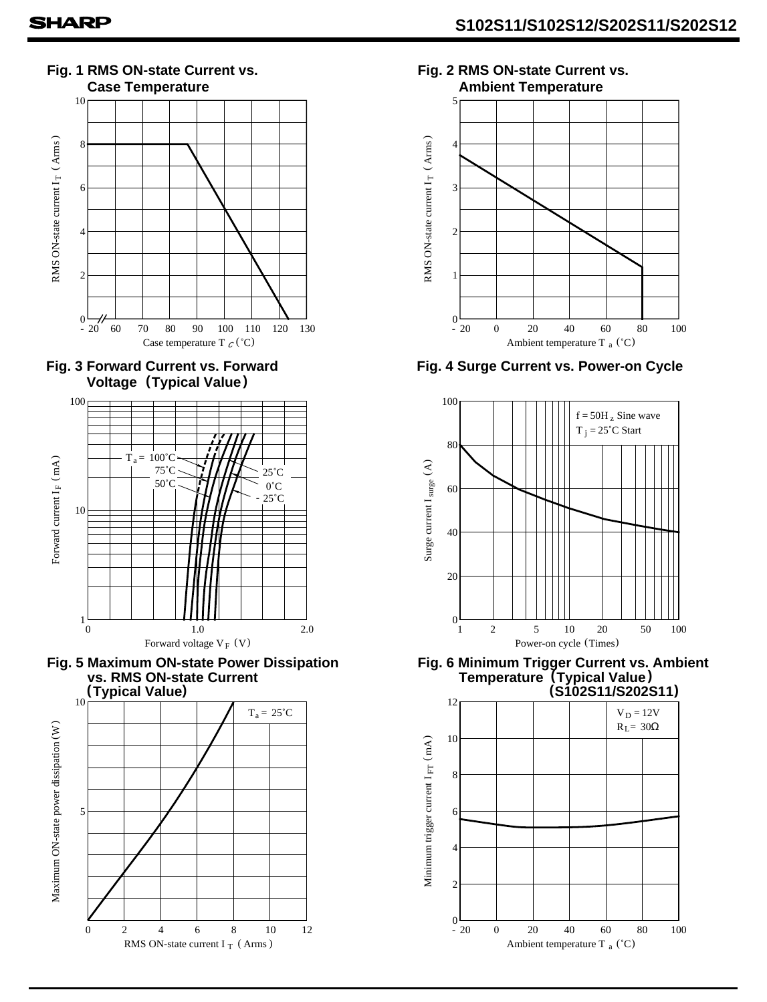









**Fig. 2 RMS ON-state Current vs. Ambient Temperature**



**Fig. 4 Surge Current vs. Power-on Cycle**



**Fig. 6 Minimum Trigger Current vs. Ambient (S102S11/S202S11)**